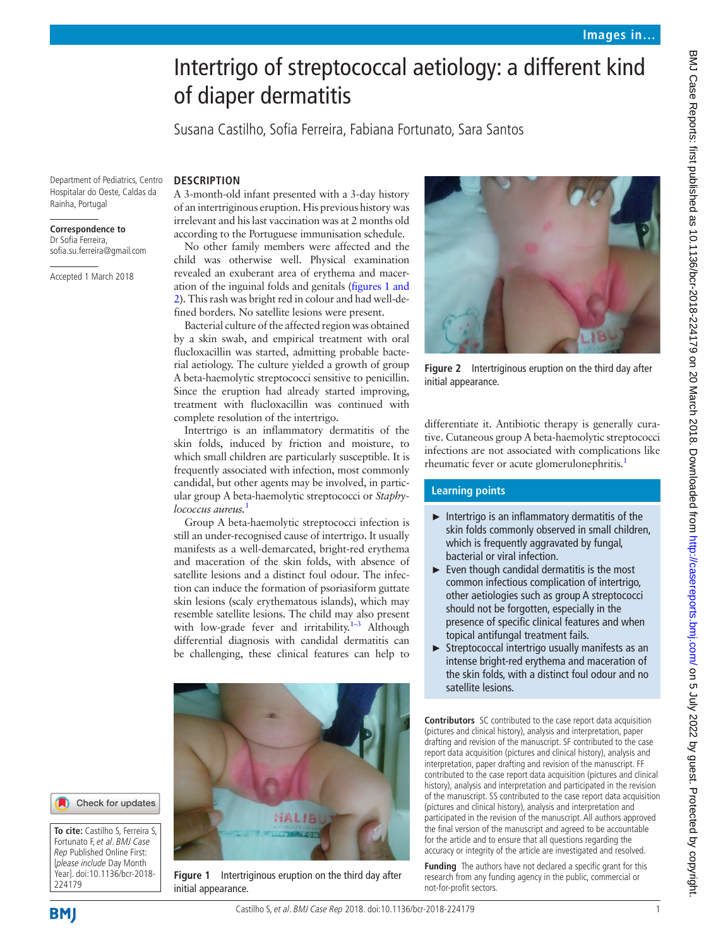# Intertrigo of streptococcal aetiology: a different kind of diaper dermatitis

Susana Castilho, Sofia Ferreira, Fabiana Fortunato, Sara Santos

Department of Pediatrics, Centro Hospitalar do Oeste, Caldas da Rainha, Portugal

#### **Correspondence to**

Dr Sofia Ferreira, sofia.su.ferreira@gmail.com

Accepted 1 March 2018

A 3-month-old infant presented with a 3-day history of an intertriginous eruption. His previous history was irrelevant and his last vaccination was at 2 months old according to the Portuguese immunisation schedule.

**Description**

No other family members were affected and the child was otherwise well. Physical examination revealed an exuberant area of erythema and maceration of the inguinal folds and genitals [\(figures](#page-0-0) 1 and [2\)](#page-0-0). This rash was bright red in colour and had well-defined borders. No satellite lesions were present.

Bacterial culture of the affected region was obtained by a skin swab, and empirical treatment with oral flucloxacillin was started, admitting probable bacterial aetiology. The culture yielded a growth of group A beta-haemolytic streptococci sensitive to penicillin. Since the eruption had already started improving, treatment with flucloxacillin was continued with complete resolution of the intertrigo.

Intertrigo is an inflammatory dermatitis of the skin folds, induced by friction and moisture, to which small children are particularly susceptible. It is frequently associated with infection, most commonly candidal, but other agents may be involved, in particular group A beta-haemolytic streptococci or *Staphylococcus aureus.*[1](#page-1-0)

Group A beta-haemolytic streptococci infection is still an under-recognised cause of intertrigo. It usually manifests as a well-demarcated, bright-red erythema and maceration of the skin folds, with absence of satellite lesions and a distinct foul odour. The infection can induce the formation of psoriasiform guttate skin lesions (scaly erythematous islands), which may resemble satellite lesions. The child may also present with low-grade fever and irritability.<sup>1-3</sup> Although differential diagnosis with candidal dermatitis can be challenging, these clinical features can help to



**Figure 1** Intertriginous eruption on the third day after initial appearance.



**Figure 2** Intertriginous eruption on the third day after initial appearance.

differentiate it. Antibiotic therapy is generally curative. Cutaneous group A beta-haemolytic streptococci infections are not associated with complications like rheumatic fever or acute glomerulonephritis[.1](#page-1-0)

### **Learning points**

- ► Intertrigo is an inflammatory dermatitis of the skin folds commonly observed in small children, which is frequently aggravated by fungal, bacterial or viral infection.
- $\blacktriangleright$  Even though candidal dermatitis is the most common infectious complication of intertrigo, other aetiologies such as group A streptococci should not be forgotten, especially in the presence of specific clinical features and when topical antifungal treatment fails.
- ► Streptococcal intertrigo usually manifests as an intense bright-red erythema and maceration of the skin folds, with a distinct foul odour and no satellite lesions.

**Contributors** SC contributed to the case report data acquisition (pictures and clinical history), analysis and interpretation, paper drafting and revision of the manuscript. SF contributed to the case report data acquisition (pictures and clinical history), analysis and interpretation, paper drafting and revision of the manuscript. FF contributed to the case report data acquisition (pictures and clinical history), analysis and interpretation and participated in the revision of the manuscript. SS contributed to the case report data acquisition (pictures and clinical history), analysis and interpretation and participated in the revision of the manuscript. All authors approved the final version of the manuscript and agreed to be accountable for the article and to ensure that all questions regarding the accuracy or integrity of the article are investigated and resolved.

**Funding** The authors have not declared a specific grant for this research from any funding agency in the public, commercial or not-for-profit sectors.



**BMI** 

<span id="page-0-0"></span>**To cite:** Castilho S, Ferreira S, Fortunato F, et al. BMJ Case Rep Published Online First: [please include Day Month Year]. doi:10.1136/bcr-2018-

Check for updates